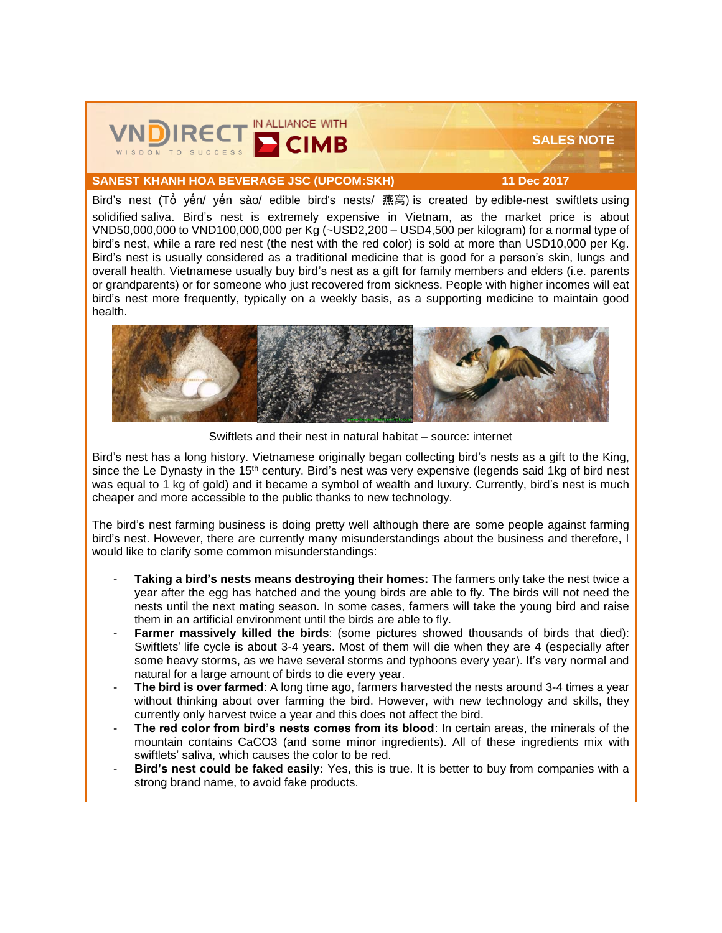

## **SALES NOTE**

## **SANEST KHANH HOA BEVERAGE JSC (UPCOM:SKH) 11 Dec 2017**

Bird's nest (Tổ yến/ yến sào/ edible bird's nests/ 燕窝) is created by edible-nest swiftlets using solidified [saliva.](https://en.wikipedia.org/wiki/Saliva) Bird's nest is extremely expensive in Vietnam, as the market price is about VND50,000,000 to VND100,000,000 per Kg (~USD2,200 – USD4,500 per kilogram) for a normal type of bird's nest, while a rare red nest (the nest with the red color) is sold at more than USD10,000 per Kg. Bird's nest is usually considered as a traditional medicine that is good for a person's skin, lungs and overall health. Vietnamese usually buy bird's nest as a gift for family members and elders (i.e. parents or grandparents) or for someone who just recovered from sickness. People with higher incomes will eat bird's nest more frequently, typically on a weekly basis, as a supporting medicine to maintain good health.



Swiftlets and their nest in natural habitat – source: internet

Bird's nest has a long history. Vietnamese originally began collecting bird's nests as a gift to the King, since the Le Dynasty in the 15<sup>th</sup> century. Bird's nest was very expensive (legends said 1kg of bird nest was equal to 1 kg of gold) and it became a symbol of wealth and luxury. Currently, bird's nest is much cheaper and more accessible to the public thanks to new technology.

The bird's nest farming business is doing pretty well although there are some people against farming bird's nest. However, there are currently many misunderstandings about the business and therefore, I would like to clarify some common misunderstandings:

- **Taking a bird's nests means destroying their homes:** The farmers only take the nest twice a year after the egg has hatched and the young birds are able to fly. The birds will not need the nests until the next mating season. In some cases, farmers will take the young bird and raise them in an artificial environment until the birds are able to fly.
- Farmer massively killed the birds: (some pictures showed thousands of birds that died): Swiftlets' life cycle is about 3-4 years. Most of them will die when they are 4 (especially after some heavy storms, as we have several storms and typhoons every year). It's very normal and natural for a large amount of birds to die every year.
- **The bird is over farmed:** A long time ago, farmers harvested the nests around 3-4 times a year without thinking about over farming the bird. However, with new technology and skills, they currently only harvest twice a year and this does not affect the bird.
- **The red color from bird's nests comes from its blood:** In certain areas, the minerals of the mountain contains CaCO3 (and some minor ingredients). All of these ingredients mix with swiftlets' saliva, which causes the color to be red.
- **Bird's nest could be faked easily:** Yes, this is true. It is better to buy from companies with a strong brand name, to avoid fake products.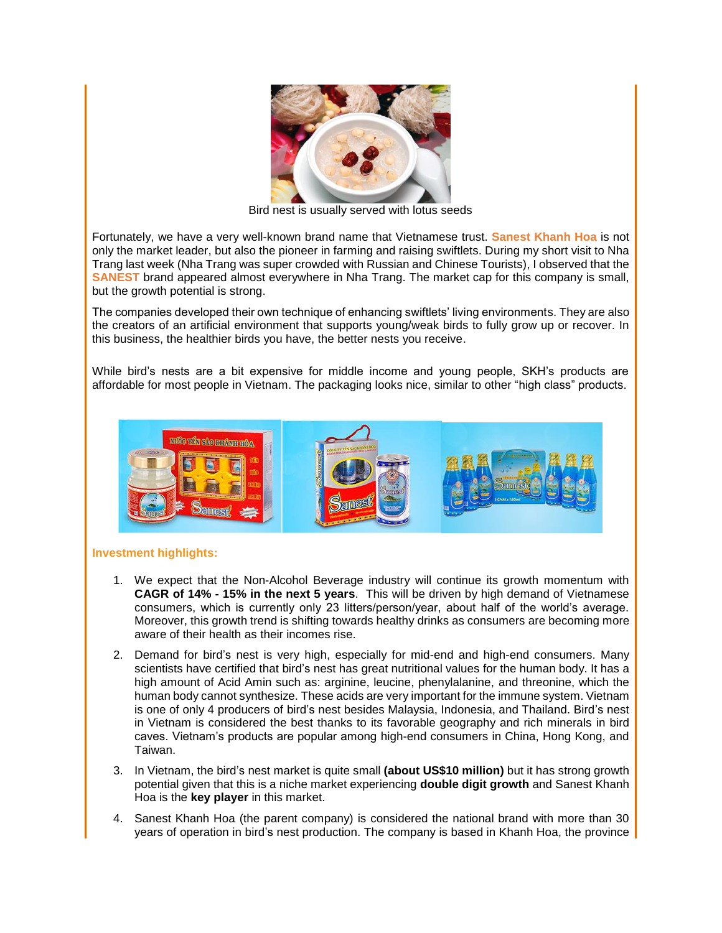

Bird nest is usually served with lotus seeds

Fortunately, we have a very well-known brand name that Vietnamese trust. **Sanest Khanh Hoa** is not only the market leader, but also the pioneer in farming and raising swiftlets. During my short visit to Nha Trang last week (Nha Trang was super crowded with Russian and Chinese Tourists), I observed that the **SANEST** brand appeared almost everywhere in Nha Trang. The market cap for this company is small, but the growth potential is strong.

The companies developed their own technique of enhancing swiftlets' living environments. They are also the creators of an artificial environment that supports young/weak birds to fully grow up or recover. In this business, the healthier birds you have, the better nests you receive.

While bird's nests are a bit expensive for middle income and young people, SKH's products are affordable for most people in Vietnam. The packaging looks nice, similar to other "high class" products.



## **Investment highlights:**

- 1. We expect that the Non-Alcohol Beverage industry will continue its growth momentum with **CAGR of 14% - 15% in the next 5 years**. This will be driven by high demand of Vietnamese consumers, which is currently only 23 litters/person/year, about half of the world's average. Moreover, this growth trend is shifting towards healthy drinks as consumers are becoming more aware of their health as their incomes rise.
- 2. Demand for bird's nest is very high, especially for mid-end and high-end consumers. Many scientists have certified that bird's nest has great nutritional values for the human body. It has a high amount of Acid Amin such as: arginine, leucine, phenylalanine, and threonine, which the human body cannot synthesize. These acids are very important for the immune system. Vietnam is one of only 4 producers of bird's nest besides Malaysia, Indonesia, and Thailand. Bird's nest in Vietnam is considered the best thanks to its favorable geography and rich minerals in bird caves. Vietnam's products are popular among high-end consumers in China, Hong Kong, and Taiwan.
- 3. In Vietnam, the bird's nest market is quite small **(about US\$10 million)** but it has strong growth potential given that this is a niche market experiencing **double digit growth** and Sanest Khanh Hoa is the **key player** in this market.
- 4. Sanest Khanh Hoa (the parent company) is considered the national brand with more than 30 years of operation in bird's nest production. The company is based in Khanh Hoa, the province